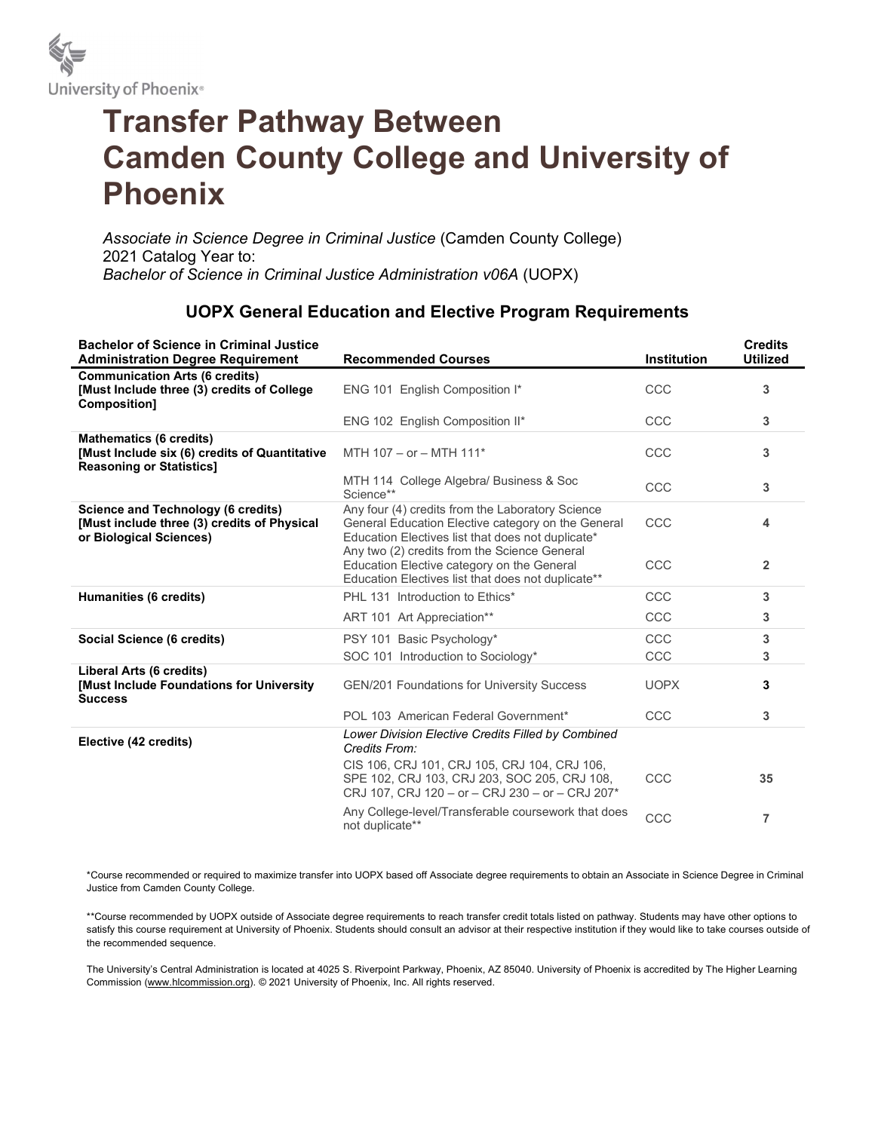

## Transfer Pathway Between Camden County College and University of Phoenix

Associate in Science Degree in Criminal Justice (Camden County College) 2021 Catalog Year to: Bachelor of Science in Criminal Justice Administration v06A (UOPX)

## UOPX General Education and Elective Program Requirements

| <b>Bachelor of Science in Criminal Justice</b><br><b>Administration Degree Requirement</b>                          | <b>Recommended Courses</b>                                                                                                                                  | <b>Institution</b> | <b>Credits</b><br><b>Utilized</b> |
|---------------------------------------------------------------------------------------------------------------------|-------------------------------------------------------------------------------------------------------------------------------------------------------------|--------------------|-----------------------------------|
| <b>Communication Arts (6 credits)</b><br>[Must Include three (3) credits of College<br>Composition]                 | ENG 101 English Composition I*                                                                                                                              | CCC                | 3                                 |
|                                                                                                                     | ENG 102 English Composition II*                                                                                                                             | CCC                | 3                                 |
| <b>Mathematics (6 credits)</b><br>[Must Include six (6) credits of Quantitative<br><b>Reasoning or Statistics]</b>  | MTH 107 - or - MTH 111*                                                                                                                                     | CCC                | 3                                 |
|                                                                                                                     | MTH 114 College Algebra/ Business & Soc<br>Science**                                                                                                        | CCC                | 3                                 |
| <b>Science and Technology (6 credits)</b><br>[Must include three (3) credits of Physical<br>or Biological Sciences) | Any four (4) credits from the Laboratory Science<br>General Education Elective category on the General<br>Education Electives list that does not duplicate* | CCC                | 4                                 |
|                                                                                                                     | Any two (2) credits from the Science General<br>Education Elective category on the General<br>Education Electives list that does not duplicate**            | CCC                | $\overline{2}$                    |
| Humanities (6 credits)                                                                                              | PHL 131 Introduction to Ethics*                                                                                                                             | CCC                | 3                                 |
|                                                                                                                     | ART 101 Art Appreciation**                                                                                                                                  | CCC                | 3                                 |
| Social Science (6 credits)                                                                                          | PSY 101 Basic Psychology*                                                                                                                                   | CCC                | 3                                 |
|                                                                                                                     | SOC 101 Introduction to Sociology*                                                                                                                          | CCC                | 3                                 |
| Liberal Arts (6 credits)<br>[Must Include Foundations for University<br><b>Success</b>                              | GEN/201 Foundations for University Success                                                                                                                  | <b>UOPX</b>        | 3                                 |
|                                                                                                                     | POL 103 American Federal Government*                                                                                                                        | CCC                | 3                                 |
| Elective (42 credits)                                                                                               | Lower Division Elective Credits Filled by Combined<br>Credits From:                                                                                         |                    |                                   |
|                                                                                                                     | CIS 106, CRJ 101, CRJ 105, CRJ 104, CRJ 106,<br>SPE 102, CRJ 103, CRJ 203, SOC 205, CRJ 108,<br>CRJ 107, CRJ 120 - or - CRJ 230 - or - CRJ 207*             | CCC                | 35                                |
|                                                                                                                     | Any College-level/Transferable coursework that does<br>not duplicate**                                                                                      | CCC                | 7                                 |

\*Course recommended or required to maximize transfer into UOPX based off Associate degree requirements to obtain an Associate in Science Degree in Criminal Justice from Camden County College.

\*\*Course recommended by UOPX outside of Associate degree requirements to reach transfer credit totals listed on pathway. Students may have other options to satisfy this course requirement at University of Phoenix. Students should consult an advisor at their respective institution if they would like to take courses outside of the recommended sequence.

The University's Central Administration is located at 4025 S. Riverpoint Parkway, Phoenix, AZ 85040. University of Phoenix is accredited by The Higher Learning Commission (www.hlcommission.org). © 2021 University of Phoenix, Inc. All rights reserved.